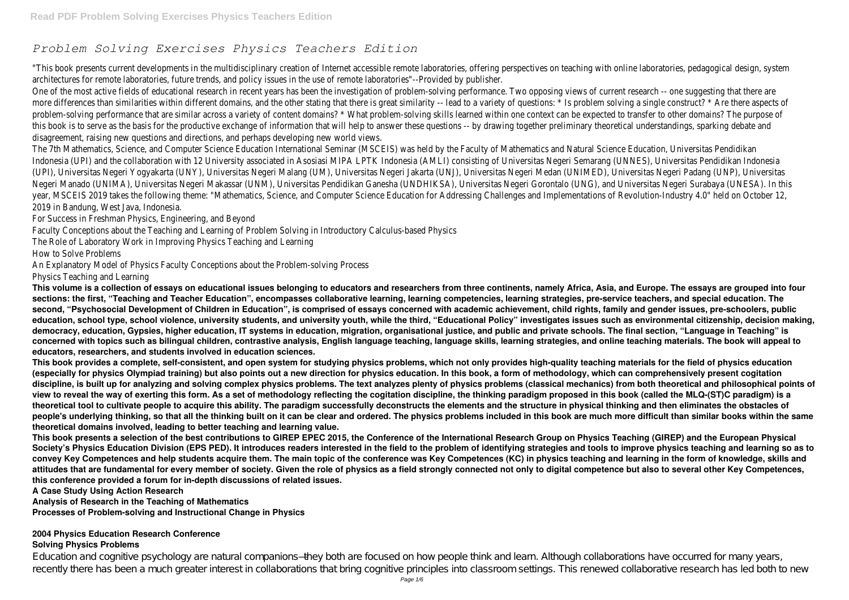# *Problem Solving Exercises Physics Teachers Edition*

"This book presents current developments in the multidisciplinary creation of Internet accessible remote laboratories, offering perspectives on teaching with online laboratories, pedagogical design, system architectures for remote laboratories, future trends, and policy issues in the use of remote laboratories"--Provided by publisher.

One of the most active fields of educational research in recent years has been the investigation of problem-solving performance. Two opposing views of current research -- one suggesting that there are more differences than similarities within different domains, and the other stating that there is great similarity -- lead to a variety of questions: \* Is problem solving a single construct? \* Are there aspects of problem-solving performance that are similar across a variety of content domains? \* What problem-solving skills learned within one context can be expected to transfer to other domains? The purpose of this book is to serve as the basis for the productive exchange of information that will help to answer these questions -- by drawing together preliminary theoretical understandings, sparking debate and disagreement, raising new questions and directions, and perhaps developing new world views.

The 7th Mathematics, Science, and Computer Science Education International Seminar (MSCEIS) was held by the Faculty of Mathematics and Natural Science Education, Universitas Pendidikan Indonesia (UPI) and the collaboration with 12 University associated in Asosiasi MIPA LPTK Indonesia (AMLI) consisting of Universitas Negeri Semarang (UNNES), Universitas Pendidikan Indonesia (UPI), Universitas Negeri Yogyakarta (UNY), Universitas Negeri Malang (UM), Universitas Negeri Jakarta (UNJ), Universitas Negeri Medan (UNIMED), Universitas Negeri Padang (UNP), Universitas Negeri Manado (UNIMA), Universitas Negeri Makassar (UNM), Universitas Pendidikan Ganesha (UNDHIKSA), Universitas Negeri Gorontalo (UNG), and Universitas Negeri Surabaya (UNESA). In this year, MSCEIS 2019 takes the following theme: "Mathematics, Science, and Computer Science Education for Addressing Challenges and Implementations of Revolution-Industry 4.0" held on October 12, 2019 in Bandung, West Java, Indonesia.

For Success in Freshman Physics, Engineering, and Beyond

Faculty Conceptions about the Teaching and Learning of Problem Solving in Introductory Calculus-based Physics

The Role of Laboratory Work in Improving Physics Teaching and Learning

How to Solve Problems

An Explanatory Model of Physics Faculty Conceptions about the Problem-solving Process

Physics Teaching and Learning

Education and cognitive psychology are natural companions—they both are focused on how people think and learn. Although collaborations have occurred for many years, recently there has been a much greater interest in collaborations that bring cognitive principles into classroom settings. This renewed collaborative research has led both to new

**This volume is a collection of essays on educational issues belonging to educators and researchers from three continents, namely Africa, Asia, and Europe. The essays are grouped into four sections: the first, "Teaching and Teacher Education", encompasses collaborative learning, learning competencies, learning strategies, pre-service teachers, and special education. The second, "Psychosocial Development of Children in Education", is comprised of essays concerned with academic achievement, child rights, family and gender issues, pre-schoolers, public education, school type, school violence, university students, and university youth, while the third, "Educational Policy" investigates issues such as environmental citizenship, decision making, democracy, education, Gypsies, higher education, IT systems in education, migration, organisational justice, and public and private schools. The final section, "Language in Teaching" is concerned with topics such as bilingual children, contrastive analysis, English language teaching, language skills, learning strategies, and online teaching materials. The book will appeal to educators, researchers, and students involved in education sciences.**

**This book provides a complete, self-consistent, and open system for studying physics problems, which not only provides high-quality teaching materials for the field of physics education (especially for physics Olympiad training) but also points out a new direction for physics education. In this book, a form of methodology, which can comprehensively present cogitation discipline, is built up for analyzing and solving complex physics problems. The text analyzes plenty of physics problems (classical mechanics) from both theoretical and philosophical points of view to reveal the way of exerting this form. As a set of methodology reflecting the cogitation discipline, the thinking paradigm proposed in this book (called the MLQ-(ST)C paradigm) is a theoretical tool to cultivate people to acquire this ability. The paradigm successfully deconstructs the elements and the structure in physical thinking and then eliminates the obstacles of people's underlying thinking, so that all the thinking built on it can be clear and ordered. The physics problems included in this book are much more difficult than similar books within the same theoretical domains involved, leading to better teaching and learning value.**

**This book presents a selection of the best contributions to GIREP EPEC 2015, the Conference of the International Research Group on Physics Teaching (GIREP) and the European Physical Society's Physics Education Division (EPS PED). It introduces readers interested in the field to the problem of identifying strategies and tools to improve physics teaching and learning so as to convey Key Competences and help students acquire them. The main topic of the conference was Key Competences (KC) in physics teaching and learning in the form of knowledge, skills and attitudes that are fundamental for every member of society. Given the role of physics as a field strongly connected not only to digital competence but also to several other Key Competences, this conference provided a forum for in-depth discussions of related issues.**

**A Case Study Using Action Research**

**Analysis of Research in the Teaching of Mathematics**

**Processes of Problem-solving and Instructional Change in Physics**

### **2004 Physics Education Research Conference Solving Physics Problems**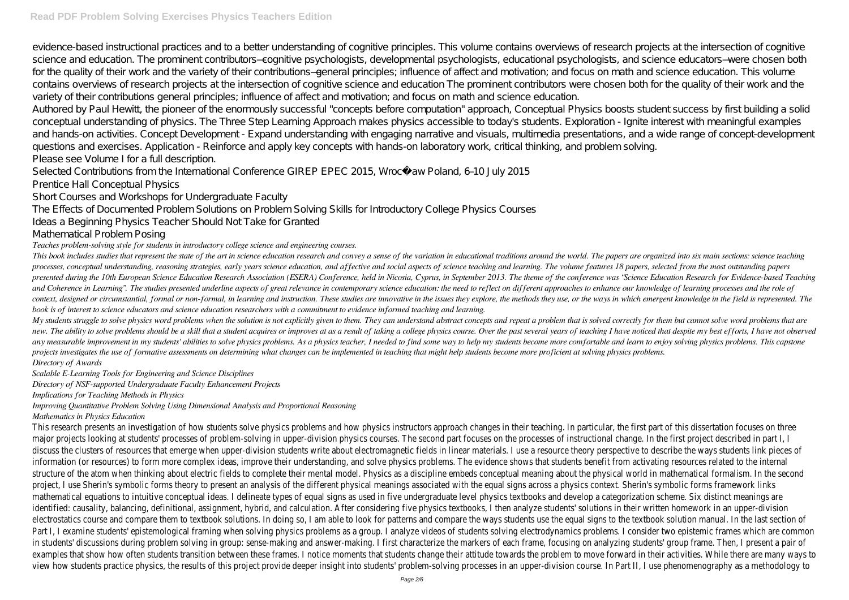evidence-based instructional practices and to a better understanding of cognitive principles. This volume contains overviews of research projects at the intersection of cognitive science and education. The prominent contributors–cognitive psychologists, developmental psychologists, educational psychologists, and science educators–were chosen both for the quality of their work and the variety of their contributions–general principles; influence of affect and motivation; and focus on math and science education. This volume contains overviews of research projects at the intersection of cognitive science and education The prominent contributors were chosen both for the quality of their work and the variety of their contributions general principles; influence of affect and motivation; and focus on math and science education.

Authored by Paul Hewitt, the pioneer of the enormously successful "concepts before computation" approach, Conceptual Physics boosts student success by first building a solid conceptual understanding of physics. The Three Step Learning Approach makes physics accessible to today's students. Exploration - Ignite interest with meaningful examples and hands-on activities. Concept Development - Expand understanding with engaging narrative and visuals, multimedia presentations, and a wide range of concept-development questions and exercises. Application - Reinforce and apply key concepts with hands-on laboratory work, critical thinking, and problem solving. Please see Volume I for a full description.

Selected Contributions from the International Conference GIREP EPEC 2015, Wrocław Poland, 6–10 July 2015

This book includes studies that represent the state of the art in science education research and convey a sense of the variation in educational traditions around the world. The papers are organized into six main sections: processes, conceptual understanding, reasoning strategies, early years science education, and affective and social aspects of science teaching and learning. The volume features 18 papers, selected from the most outstanding presented during the 10th European Science Education Research Association (ESERA) Conference, held in Nicosia, Cyprus, in September 2013. The theme of the conference was "Science Education Research for Evidence-based Teach and Coherence in Learning". The studies presented underline aspects of great relevance in contemporary science education: the need to reflect on different approaches to enhance our knowledge of learning processes and the r context, designed or circumstantial, formal or non-formal, in learning and instruction. These studies are innovative in the issues they explore, the methods they use, or the ways in which emergent knowledge in the field is *book is of interest to science educators and science education researchers with a commitment to evidence informed teaching and learning.*

Prentice Hall Conceptual Physics

Short Courses and Workshops for Undergraduate Faculty

The Effects of Documented Problem Solutions on Problem Solving Skills for Introductory College Physics Courses

Ideas a Beginning Physics Teacher Should Not Take for Granted

Mathematical Problem Posing

*Teaches problem-solving style for students in introductory college science and engineering courses.*

My students struggle to solve physics word problems when the solution is not explicitly given to them. They can understand abstract concepts and repeat a problem that is solved correctly for them but cannot solve word prob new. The ability to solve problems should be a skill that a student acquires or improves at as a result of taking a college physics course. Over the past several years of teaching I have noticed that despite my best effort any measurable improvement in my students' abilities to solve physics problems. As a physics teacher, I needed to find some way to help my students become more comfortable and learn to enjoy solving physics problems. This *projects investigates the use of formative assessments on determining what changes can be implemented in teaching that might help students become more proficient at solving physics problems. Directory of Awards*

*Scalable E-Learning Tools for Engineering and Science Disciplines*

*Directory of NSF-supported Undergraduate Faculty Enhancement Projects*

*Implications for Teaching Methods in Physics*

*Improving Quantitative Problem Solving Using Dimensional Analysis and Proportional Reasoning*

*Mathematics in Physics Education*

This research presents an investigation of how students solve physics problems and how physics instructors approach changes in their teaching. In particular, the first part of this dissertation focuses on th major projects looking at students' processes of problem-solving in upper-division physics courses. The second part focuses on the processes of instructional change. In the first project described in part I, I discuss the clusters of resources that emerge when upper-division students write about electromagnetic fields in linear materials. I use a resource theory perspective to describe the ways students link piec information (or resources) to form more complex ideas, improve their understanding, and solve physics problems. The evidence shows that students benefit from activating resources related to the internal structure of the atom when thinking about electric fields to complete their mental model. Physics as a discipline embeds conceptual meaning about the physical world in mathematical formalism. In the second is the second in project, I use Sherin's symbolic forms theory to present an analysis of the different physical meanings associated with the equal signs across a physics context. Sherin's symbolic forms framework links mathematical equations to intuitive conceptual ideas. I delineate types of equal signs as used in five undergraduate level physics textbooks and develop a categorization scheme. Six distinct meanings are identified: causality, balancing, definitional, assignment, hybrid, and calculation. After considering five physics textbooks, I then analyze students' solutions in their written homework in an upper-division electrostatics course and compare them to textbook solutions. In doing so, I am able to look for patterns and compare the ways students use the equal signs to the textbook solution manual. In the last sec Part I, I examine students' epistemological framing when solving physics problems as a group. I analyze videos of students solving electrodynamics problems. I consider two epistemic frames which are commo in students' discussions during problem solving in group: sense-making and answer-making. I first characterize the markers of each frame, focusing on analyzing students' group frame. Then, I present a pair or examples that show how often students transition between these frames. I notice moments that students change their attitude towards the problem to move forward in their activities. While there are ma view how students practice physics, the results of this project provide deeper insight into students' problem-solving processes in an upper-division course. In Part II, I use phenomenography as a methodolog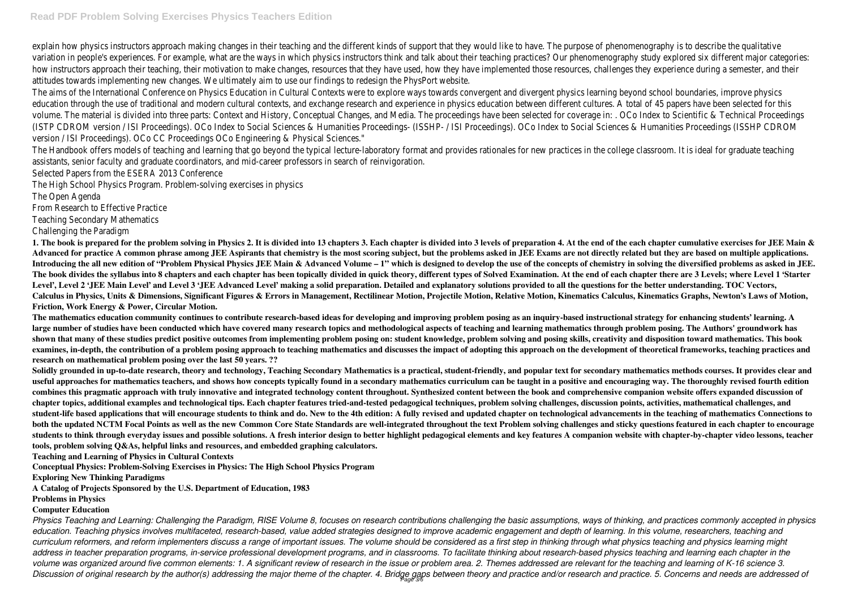### **Read PDF Problem Solving Exercises Physics Teachers Edition**

explain how physics instructors approach making changes in their teaching and the different kinds of support that they would like to have. The purpose of phenomenography is to describe the qualitative variation in people's experiences. For example, what are the ways in which physics instructors think and talk about their teaching practices? Our phenomenography study explored six different major categorie how instructors approach their teaching, their motivation to make changes, resources that they have used, how they have implemented those resources, challenges they experience during a semester, and the attitudes towards implementing new changes. We ultimately aim to use our findings to redesign the PhysPort website.

The aims of the International Conference on Physics Education in Cultural Contexts were to explore ways towards convergent and divergent physics learning beyond school boundaries, improve physics education through the use of traditional and modern cultural contexts, and exchange research and experience in physics education between different cultures. A total of 45 papers have been selected for thi volume. The material is divided into three parts: Context and History, Conceptual Changes, and Media. The proceedings have been selected for coverage in: . OCo Index to Scientific & Technical Proceedings (ISTP CDROM version / ISI Proceedings). OCo Index to Social Sciences & Humanities Proceedings- (ISSHP- / ISI Proceedings). OCo Index to Social Sciences & Humanities Proceedings (ISSHP CDROM version / ISI Proceedings). OCo CC Proceedings OCo Engineering & Physical Sciences."

1. The book is prepared for the problem solving in Physics 2. It is divided into 13 chapters 3. Each chapter is divided into 3 levels of preparation 4. At the end of the each chapter cumulative exercises for JEE Main & Advanced for practice A common phrase among JEE Aspirants that chemistry is the most scoring subject, but the problems asked in JEE Exams are not directly related but they are based on multiple applications. **Introducing the all new edition of "Problem Physical Physics JEE Main & Advanced Volume – 1" which is designed to develop the use of the concepts of chemistry in solving the diversified problems as asked in JEE. The book divides the syllabus into 8 chapters and each chapter has been topically divided in quick theory, different types of Solved Examination. At the end of each chapter there are 3 Levels; where Level 1 'Starter** Level', Level 2 'JEE Main Level' and Level 3 'JEE Advanced Level' making a solid preparation. Detailed and explanatory solutions provided to all the questions for the better understanding. TOC Vectors, **Calculus in Physics, Units & Dimensions, Significant Figures & Errors in Management, Rectilinear Motion, Projectile Motion, Relative Motion, Kinematics Calculus, Kinematics Graphs, Newton's Laws of Motion, Friction, Work Energy & Power, Circular Motion.**

The Handbook offers models of teaching and learning that go beyond the typical lecture-laboratory format and provides rationales for new practices in the college classroom. It is ideal for graduate teaching assistants, senior faculty and graduate coordinators, and mid-career professors in search of reinvigoration.

Selected Papers from the ESERA 2013 Conference

The High School Physics Program. Problem-solving exercises in physics

The Open Agenda

From Research to Effective Practice

Teaching Secondary Mathematics

Challenging the Paradigm

*Physics Teaching and Learning: Challenging the Paradigm, RISE Volume 8, focuses on research contributions challenging the basic assumptions, ways of thinking, and practices commonly accepted in physics education. Teaching physics involves multifaceted, research-based, value added strategies designed to improve academic engagement and depth of learning. In this volume, researchers, teaching and curriculum reformers, and reform implementers discuss a range of important issues. The volume should be considered as a first step in thinking through what physics teaching and physics learning might* address in teacher preparation programs, in-service professional development programs, and in classrooms. To facilitate thinking about research-based physics teaching and learning each chapter in the *volume was organized around five common elements: 1. A significant review of research in the issue or problem area. 2. Themes addressed are relevant for the teaching and learning of K-16 science 3.* Discussion of original research by the author(s) addressing the major theme of the chapter. 4. Bridge gaps between theory and practice and/or research and practice. 5. Concerns and needs are addressed of

**The mathematics education community continues to contribute research-based ideas for developing and improving problem posing as an inquiry-based instructional strategy for enhancing students' learning. A large number of studies have been conducted which have covered many research topics and methodological aspects of teaching and learning mathematics through problem posing. The Authors' groundwork has shown that many of these studies predict positive outcomes from implementing problem posing on: student knowledge, problem solving and posing skills, creativity and disposition toward mathematics. This book examines, in-depth, the contribution of a problem posing approach to teaching mathematics and discusses the impact of adopting this approach on the development of theoretical frameworks, teaching practices and research on mathematical problem posing over the last 50 years. ??**

**Solidly grounded in up-to-date research, theory and technology, Teaching Secondary Mathematics is a practical, student-friendly, and popular text for secondary mathematics methods courses. It provides clear and useful approaches for mathematics teachers, and shows how concepts typically found in a secondary mathematics curriculum can be taught in a positive and encouraging way. The thoroughly revised fourth edition combines this pragmatic approach with truly innovative and integrated technology content throughout. Synthesized content between the book and comprehensive companion website offers expanded discussion of chapter topics, additional examples and technological tips. Each chapter features tried-and-tested pedagogical techniques, problem solving challenges, discussion points, activities, mathematical challenges, and student-life based applications that will encourage students to think and do. New to the 4th edition: A fully revised and updated chapter on technological advancements in the teaching of mathematics Connections to both the updated NCTM Focal Points as well as the new Common Core State Standards are well-integrated throughout the text Problem solving challenges and sticky questions featured in each chapter to encourage students to think through everyday issues and possible solutions. A fresh interior design to better highlight pedagogical elements and key features A companion website with chapter-by-chapter video lessons, teacher tools, problem solving Q&As, helpful links and resources, and embedded graphing calculators.**

**Teaching and Learning of Physics in Cultural Contexts**

**Conceptual Physics: Problem-Solving Exercises in Physics: The High School Physics Program**

**Exploring New Thinking Paradigms**

**A Catalog of Projects Sponsored by the U.S. Department of Education, 1983**

**Problems in Physics**

## **Computer Education**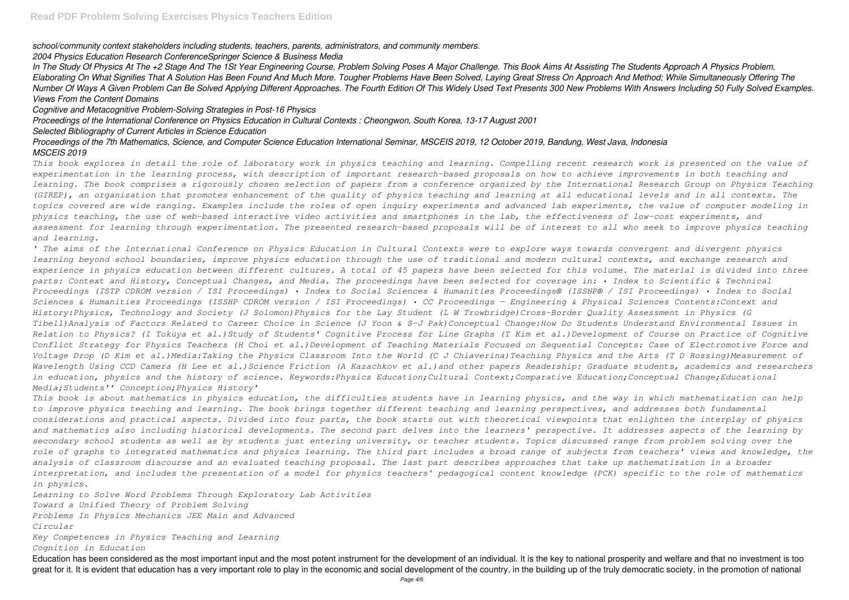*school/community context stakeholders including students, teachers, parents, administrators, and community members.*

*2004 Physics Education Research ConferenceSpringer Science & Business Media*

*In The Study Of Physics At The +2 Stage And The 1St Year Engineering Course, Problem Solving Poses A Major Challenge. This Book Aims At Assisting The Students Approach A Physics Problem, Elaborating On What Signifies That A Solution Has Been Found And Much More. Tougher Problems Have Been Solved, Laying Great Stress On Approach And Method; While Simultaneously Offering The Number Of Ways A Given Problem Can Be Solved Applying Different Approaches. The Fourth Edition Of This Widely Used Text Presents 300 New Problems With Answers Including 50 Fully Solved Examples. Views From the Content Domains*

*Cognitive and Metacognitive Problem-Solving Strategies in Post-16 Physics*

*Proceedings of the International Conference on Physics Education in Cultural Contexts : Cheongwon, South Korea, 13-17 August 2001*

*Selected Bibliography of Current Articles in Science Education*

*Proceedings of the 7th Mathematics, Science, and Computer Science Education International Seminar, MSCEIS 2019, 12 October 2019, Bandung, West Java, Indonesia MSCEIS 2019*

*This book explores in detail the role of laboratory work in physics teaching and learning. Compelling recent research work is presented on the value of experimentation in the learning process, with description of important research-based proposals on how to achieve improvements in both teaching and learning. The book comprises a rigorously chosen selection of papers from a conference organized by the International Research Group on Physics Teaching (GIREP), an organization that promotes enhancement of the quality of physics teaching and learning at all educational levels and in all contexts. The topics covered are wide ranging. Examples include the roles of open inquiry experiments and advanced lab experiments, the value of computer modeling in physics teaching, the use of web-based interactive video activities and smartphones in the lab, the effectiveness of low-cost experiments, and assessment for learning through experimentation. The presented research-based proposals will be of interest to all who seek to improve physics teaching and learning.*

Education has been considered as the most important input and the most potent instrument for the development of an individual. It is the key to national prosperity and welfare and that no investment is too great for it. It is evident that education has a very important role to play in the economic and social development of the country, in the building up of the truly democratic society, in the promotion of national

*' The aims of the International Conference on Physics Education in Cultural Contexts were to explore ways towards convergent and divergent physics learning beyond school boundaries, improve physics education through the use of traditional and modern cultural contexts, and exchange research and experience in physics education between different cultures. A total of 45 papers have been selected for this volume. The material is divided into three parts: Context and History, Conceptual Changes, and Media. The proceedings have been selected for coverage in: • Index to Scientific & Technical Proceedings (ISTP CDROM version / ISI Proceedings) • Index to Social Sciences & Humanities Proceedings® (ISSHP® / ISI Proceedings) • Index to Social Sciences & Humanities Proceedings (ISSHP CDROM version / ISI Proceedings) • CC Proceedings — Engineering & Physical Sciences Contents:Context and History:Physics, Technology and Society (J Solomon)Physics for the Lay Student (L W Trowbridge)Cross-Border Quality Assessment in Physics (G Tibell)Analysis of Factors Related to Career Choice in Science (J Yoon & S-J Pak)Conceptual Change:How Do Students Understand Environmental Issues in Relation to Physics? (I Tokuya et al.)Study of Students' Cognitive Process for Line Graphs (T Kim et al.)Development of Course on Practice of Cognitive Conflict Strategy for Physics Teachers (H Choi et al.)Development of Teaching Materials Focused on Sequential Concepts: Case of Electromotive Force and Voltage Drop (D Kim et al.)Media:Taking the Physics Classroom Into the World (C J Chiaverina)Teaching Physics and the Arts (T D Rossing)Measurement of Wavelength Using CCD Camera (H Lee et al.)Science Friction (A Kazachkov et al.)and other papers Readership: Graduate students, academics and researchers in education, physics and the history of science. Keywords:Physics Education;Cultural Context;Comparative Education;Conceptual Change;Educational Media;Students'' Conception;Physics History'*

*This book is about mathematics in physics education, the difficulties students have in learning physics, and the way in which mathematization can help to improve physics teaching and learning. The book brings together different teaching and learning perspectives, and addresses both fundamental considerations and practical aspects. Divided into four parts, the book starts out with theoretical viewpoints that enlighten the interplay of physics and mathematics also including historical developments. The second part delves into the learners' perspective. It addresses aspects of the learning by secondary school students as well as by students just entering university, or teacher students. Topics discussed range from problem solving over the role of graphs to integrated mathematics and physics learning. The third part includes a broad range of subjects from teachers' views and knowledge, the analysis of classroom discourse and an evaluated teaching proposal. The last part describes approaches that take up mathematization in a broader interpretation, and includes the presentation of a model for physics teachers' pedagogical content knowledge (PCK) specific to the role of mathematics in physics.*

*Learning to Solve Word Problems Through Exploratory Lab Activities Toward a Unified Theory of Problem Solving Problems In Physics Mechanics JEE Main and Advanced Circular*

*Key Competences in Physics Teaching and Learning Cognition in Education*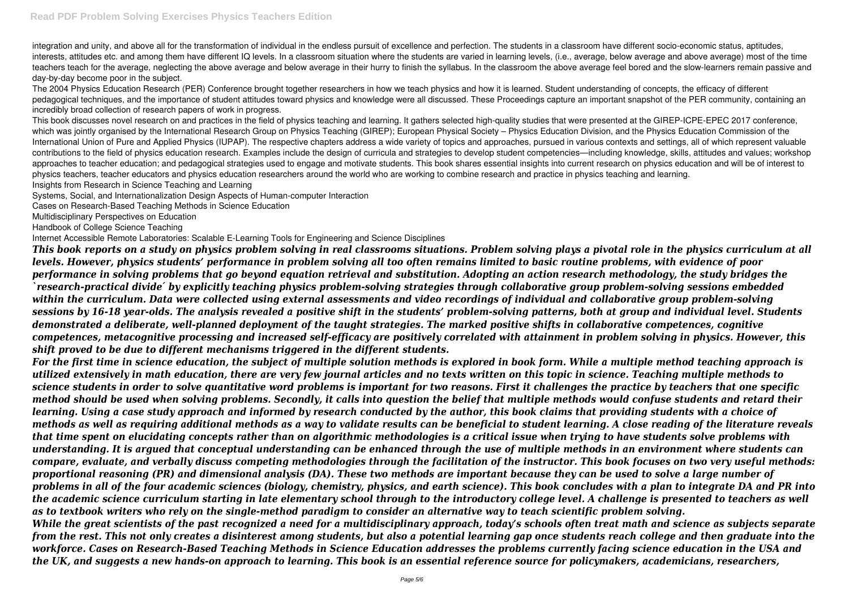integration and unity, and above all for the transformation of individual in the endless pursuit of excellence and perfection. The students in a classroom have different socio-economic status, aptitudes, interests, attitudes etc. and among them have different IQ levels. In a classroom situation where the students are varied in learning levels, (i.e., average, below average and above average) most of the time teachers teach for the average, neglecting the above average and below average in their hurry to finish the syllabus. In the classroom the above average feel bored and the slow-learners remain passive and day-by-day become poor in the subject.

The 2004 Physics Education Research (PER) Conference brought together researchers in how we teach physics and how it is learned. Student understanding of concepts, the efficacy of different pedagogical techniques, and the importance of student attitudes toward physics and knowledge were all discussed. These Proceedings capture an important snapshot of the PER community, containing an incredibly broad collection of research papers of work in progress.

This book discusses novel research on and practices in the field of physics teaching and learning. It gathers selected high-quality studies that were presented at the GIREP-ICPE-EPEC 2017 conference, which was jointly organised by the International Research Group on Physics Teaching (GIREP); European Physical Society – Physics Education Division, and the Physics Education Commission of the International Union of Pure and Applied Physics (IUPAP). The respective chapters address a wide variety of topics and approaches, pursued in various contexts and settings, all of which represent valuable contributions to the field of physics education research. Examples include the design of curricula and strategies to develop student competencies—including knowledge, skills, attitudes and values; workshop approaches to teacher education; and pedagogical strategies used to engage and motivate students. This book shares essential insights into current research on physics education and will be of interest to physics teachers, teacher educators and physics education researchers around the world who are working to combine research and practice in physics teaching and learning. Insights from Research in Science Teaching and Learning

Systems, Social, and Internationalization Design Aspects of Human-computer Interaction

Cases on Research-Based Teaching Methods in Science Education

Multidisciplinary Perspectives on Education

Handbook of College Science Teaching

Internet Accessible Remote Laboratories: Scalable E-Learning Tools for Engineering and Science Disciplines

*This book reports on a study on physics problem solving in real classrooms situations. Problem solving plays a pivotal role in the physics curriculum at all levels. However, physics students' performance in problem solving all too often remains limited to basic routine problems, with evidence of poor performance in solving problems that go beyond equation retrieval and substitution. Adopting an action research methodology, the study bridges the `research-practical divide ́ by explicitly teaching physics problem-solving strategies through collaborative group problem-solving sessions embedded within the curriculum. Data were collected using external assessments and video recordings of individual and collaborative group problem-solving sessions by 16-18 year-olds. The analysis revealed a positive shift in the students' problem-solving patterns, both at group and individual level. Students demonstrated a deliberate, well-planned deployment of the taught strategies. The marked positive shifts in collaborative competences, cognitive competences, metacognitive processing and increased self-efficacy are positively correlated with attainment in problem solving in physics. However, this shift proved to be due to different mechanisms triggered in the different students.*

*For the first time in science education, the subject of multiple solution methods is explored in book form. While a multiple method teaching approach is utilized extensively in math education, there are very few journal articles and no texts written on this topic in science. Teaching multiple methods to science students in order to solve quantitative word problems is important for two reasons. First it challenges the practice by teachers that one specific method should be used when solving problems. Secondly, it calls into question the belief that multiple methods would confuse students and retard their learning. Using a case study approach and informed by research conducted by the author, this book claims that providing students with a choice of methods as well as requiring additional methods as a way to validate results can be beneficial to student learning. A close reading of the literature reveals that time spent on elucidating concepts rather than on algorithmic methodologies is a critical issue when trying to have students solve problems with understanding. It is argued that conceptual understanding can be enhanced through the use of multiple methods in an environment where students can compare, evaluate, and verbally discuss competing methodologies through the facilitation of the instructor. This book focuses on two very useful methods: proportional reasoning (PR) and dimensional analysis (DA). These two methods are important because they can be used to solve a large number of problems in all of the four academic sciences (biology, chemistry, physics, and earth science). This book concludes with a plan to integrate DA and PR into the academic science curriculum starting in late elementary school through to the introductory college level. A challenge is presented to teachers as well as to textbook writers who rely on the single-method paradigm to consider an alternative way to teach scientific problem solving. While the great scientists of the past recognized a need for a multidisciplinary approach, today's schools often treat math and science as subjects separate from the rest. This not only creates a disinterest among students, but also a potential learning gap once students reach college and then graduate into the workforce. Cases on Research-Based Teaching Methods in Science Education addresses the problems currently facing science education in the USA and the UK, and suggests a new hands-on approach to learning. This book is an essential reference source for policymakers, academicians, researchers,*